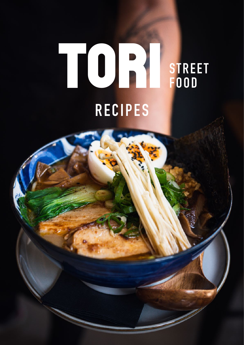# $\begin{bmatrix} 0 \\ 1 \end{bmatrix}$ **FOOD RECIPES**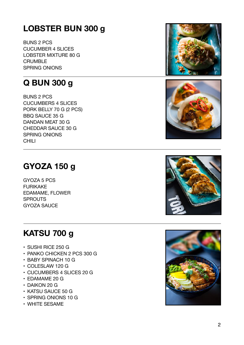# <span id="page-1-0"></span>**LOBSTER BUN 300 g**

BUNS 2 PCS CUCUMBER 4 SLICES LOBSTER MIXTURE 80 G CRUMBLE SPRING ONIONS

# <span id="page-1-1"></span>**Q BUN 300 g**

BUNS 2 PCS CUCUMBERS 4 SLICES PORK BELLY 70 G (2 PCS) BBQ SAUCE 35 G DANDAN MEAT 30 G CHEDDAR SAUCE 30 G SPRING ONIONS CHILI

# <span id="page-1-2"></span>**GYOZA 150 g**

GYOZA 5 PCS FURIKAKE EDAMAME, FLOWER **SPROUTS** GYOZA SAUCE

# <span id="page-1-3"></span>**KATSU 700 g**

- SUSHI RICE 250 G
- PANKO CHICKEN 2 PCS 300 G
- BABY SPINACH 10 G
- COLESLAW 120 G
- CUCUMBERS 4 SLICES 20 G
- EDAMAME 20 G
- DAIKON 20 G
- KATSU SAUCE 50 G
- SPRING ONIONS 10 G
- WHITE SESAME







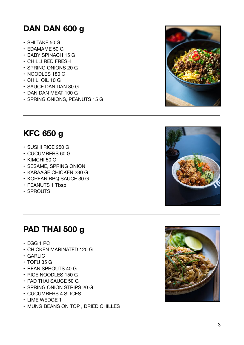# <span id="page-2-0"></span>**DAN DAN 600 g**

- SHIITAKE 50 G
- EDAMAME 50 G
- BABY SPINACH 15 G
- CHILLI RED FRESH
- SPRING ONIONS 20 G
- NOODLES 180 G
- CHILI OIL 10 G
- SAUCE DAN DAN 80 G
- DAN DAN MEAT 100 G
- SPRING ONIONS, PEANUTS 15 G



# <span id="page-2-1"></span>**KFC 650 g**

- SUSHI RICE 250 G
- CUCUMBERS 60 G
- KIMCHI 50 G
- SESAME, SPRING ONION
- KARAAGE CHICKEN 230 G
- KOREAN BBQ SAUCE 30 G
- PEANUTS 1 Tbsp
- SPROUTS

# <span id="page-2-2"></span>**PAD THAI 500 g**

- EGG 1 PC
- CHICKEN MARINATED 120 G
- GARLIC
- TOFU 35 G
- BEAN SPROUTS 40 G
- RICE NOODLES 150 G
- PAD THAI SAUCE 50 G
- SPRING ONION STRIPS 20 G
- CUCUMBERS 4 SLICES
- LIME WEDGE 1
- MUNG BEANS ON TOP , DRIED CHILLES



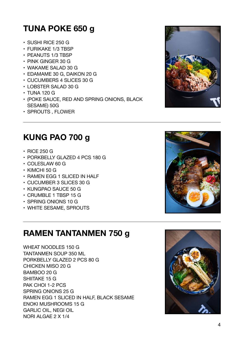# <span id="page-3-0"></span>**TUNA POKE 650 g**

- SUSHI RICE 250 G
- FURIKAKE 1/3 TBSP
- PEANUTS 1/3 TBSP
- PINK GINGER 30 G
- WAKAME SALAD 30 G
- EDAMAME 30 G, DAIKON 20 G
- CUCUMBERS 4 SLICES 30 G
- LOBSTER SALAD 30 G
- TUNA 120 G
- (POKE SAUCE, RED AND SPRING ONIONS, BLACK SESAME) 50G
- SPROUTS , FLOWER

# <span id="page-3-1"></span>**KUNG PAO 700 g**

- RICE 250 G
- PORKBELLY GLAZED 4 PCS 180 G
- COLESLAW 60 G
- KIMCHI 50 G
- RAMEN EGG 1 SLICED IN HALF
- CUCUMBER 3 SLICES 30 G
- KUNGPAO SAUCE 50 G
- CRUMBLE 1 TBSP 15 G
- SPRING ONIONS 10 G
- WHITE SESAME, SPROUTS

# <span id="page-3-2"></span>**RAMEN TANTANMEN 750 g**

WHEAT NOODLES 150 G TANTANMEN SOUP 350 ML PORKBELLY GLAZED 2 PCS 80 G CHICKEN MISO 20 G BAMBOO 20 G SHIITAKE 15 G PAK CHOI 1-2 PCS SPRING ONIONS 25 G RAMEN EGG 1 SLICED IN HALF, BLACK SESAME ENOKI MUSHROOMS 15 G GARLIC OIL, NEGI OIL NORI ALGAE 2 X 1/4





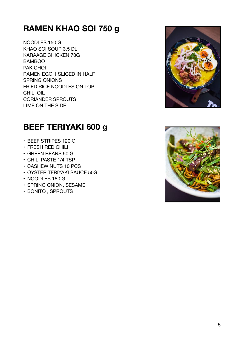# <span id="page-4-0"></span>**RAMEN KHAO SOI 750 g**

NOODLES 150 G KHAO SOI SOUP 3.5 DL KARAAGE CHICKEN 70G BAMBOO PAK CHOI RAMEN EGG 1 SLICED IN HALF SPRING ONIONS FRIED RICE NOODLES ON TOP CHILI OIL CORIANDER SPROUTS LIME ON THE SIDE



# <span id="page-4-1"></span>**BEEF TERIYAKI 600 g**

- BEEF STRIPES 120 G
- FRESH RED CHILI
- GREEN BEANS 50 G
- CHILI PASTE 1/4 TSP
- CASHEW NUTS 10 PCS
- OYSTER TERIYAKI SAUCE 50G
- NOODLES 180 G
- SPRING ONION, SESAME
- BONITO , SPROUTS

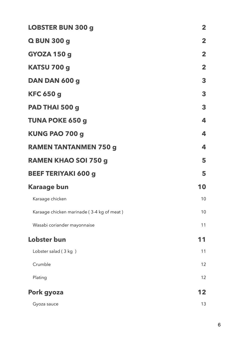| <b>LOBSTER BUN 300 g</b>                  | $\mathbf{2}$ |
|-------------------------------------------|--------------|
| Q BUN 300 g                               | $\mathbf{2}$ |
| <b>GYOZA 150 g</b>                        | $\mathbf{2}$ |
| KATSU 700 g                               | $\mathbf{2}$ |
| DAN DAN 600 g                             | 3            |
| <b>KFC 650 g</b>                          | 3            |
| PAD THAI 500 g                            | 3            |
| <b>TUNA POKE 650 g</b>                    | 4            |
| KUNG PAO 700 g                            | 4            |
| <b>RAMEN TANTANMEN 750 g</b>              | 4            |
| <b>RAMEN KHAO SOI 750 g</b>               | 5            |
| <b>BEEF TERIYAKI 600 g</b>                | 5            |
| <b>Karaage bun</b>                        | 10           |
| Karaage chicken                           | 10           |
| Karaage chicken marinade (3-4 kg of meat) | 10           |
| Wasabi coriander mayonnaise               | 11           |
| <b>Lobster bun</b>                        | 11           |
| Lobster salad (3 kg)                      | 11           |
| Crumble                                   | 12           |
| Plating                                   | 12           |
| Pork gyoza                                | 12           |
| Gyoza sauce                               | 13           |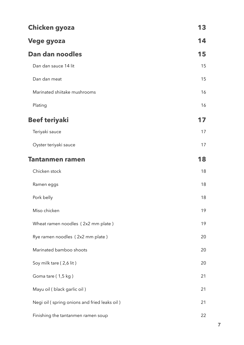| <b>Chicken gyoza</b>                         | 13 |
|----------------------------------------------|----|
| Vege gyoza                                   | 14 |
| Dan dan noodles                              | 15 |
| Dan dan sauce 14 lit                         | 15 |
| Dan dan meat                                 | 15 |
| Marinated shiitake mushrooms                 | 16 |
| Plating                                      | 16 |
| <b>Beef teriyaki</b>                         | 17 |
| Teriyaki sauce                               | 17 |
| Oyster teriyaki sauce                        | 17 |
| <b>Tantanmen ramen</b>                       | 18 |
| Chicken stock                                | 18 |
| Ramen eggs                                   | 18 |
| Pork belly                                   | 18 |
| Miso chicken                                 | 19 |
| Wheat ramen noodles (2x2 mm plate)           | 19 |
| Rye ramen noodles (2x2 mm plate)             | 20 |
| Marinated bamboo shoots                      | 20 |
| Soy milk tare (2,6 lit)                      | 20 |
| Goma tare (1,5 kg)                           | 21 |
| Mayu oil (black garlic oil)                  | 21 |
| Negi oil (spring onions and fried leaks oil) | 21 |
| Finishing the tantanmen ramen soup           | 22 |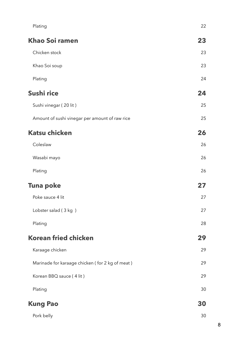| Plating                                         | 22 |
|-------------------------------------------------|----|
| <b>Khao Soi ramen</b>                           | 23 |
| Chicken stock                                   | 23 |
| Khao Soi soup                                   | 23 |
| Plating                                         | 24 |
| Sushi rice                                      | 24 |
| Sushi vinegar (20 lit)                          | 25 |
| Amount of sushi vinegar per amount of raw rice  | 25 |
| <b>Katsu chicken</b>                            | 26 |
| Coleslaw                                        | 26 |
| Wasabi mayo                                     | 26 |
| Plating                                         | 26 |
| <b>Tuna poke</b>                                | 27 |
| Poke sauce 4 lit                                | 27 |
| Lobster salad (3 kg)                            | 27 |
| Plating                                         | 28 |
| <b>Korean fried chicken</b>                     | 29 |
| Karaage chicken                                 | 29 |
| Marinade for karaage chicken (for 2 kg of meat) | 29 |
| Korean BBQ sauce (4 lit)                        | 29 |
| Plating                                         | 30 |
| <b>Kung Pao</b>                                 | 30 |
| Pork belly                                      | 30 |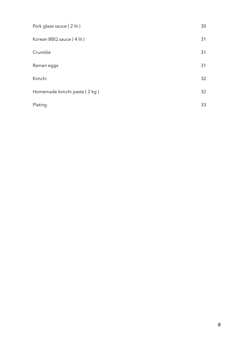| Pork glaze sauce (2 lit)     | 30 |
|------------------------------|----|
| Korean BBQ sauce (4 lit)     | 31 |
| Crumble                      | 31 |
| Ramen eggs                   | 31 |
| Kimchi                       | 32 |
| Homemade kimchi paste (2 kg) | 32 |
| Plating                      | 33 |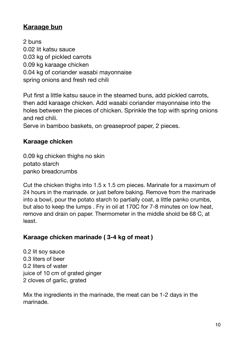# <span id="page-9-0"></span>**Karaage bun**

2 buns 0.02 lit katsu sauce 0.03 kg of pickled carrots 0.09 kg karaage chicken 0.04 kg of coriander wasabi mayonnaise spring onions and fresh red chili

Put first a little katsu sauce in the steamed buns, add pickled carrots, then add karaage chicken. Add wasabi coriander mayonnaise into the holes between the pieces of chicken. Sprinkle the top with spring onions and red chili.

Serve in bamboo baskets, on greaseproof paper, 2 pieces.

## <span id="page-9-1"></span>**Karaage chicken**

0.09 kg chicken thighs no skin potato starch panko breadcrumbs

Cut the chicken thighs into 1.5 x 1.5 cm pieces. Marinate for a maximum of 24 hours in the marinade. or just before baking. Remove from the marinade into a bowl, pour the potato starch to partially coat, a little panko crumbs, but also to keep the lumps . Fry in oil at 170C for 7-8 minutes on low heat, remove and drain on paper. Thermometer in the middle shold be 68 C, at least.

# <span id="page-9-2"></span>**Karaage chicken marinade ( 3-4 kg of meat )**

0.2 lit soy sauce 0.3 liters of beer 0.2 liters of water juice of 10 cm of grated ginger 2 cloves of garlic, grated

Mix the ingredients in the marinade, the meat can be 1-2 days in the marinade.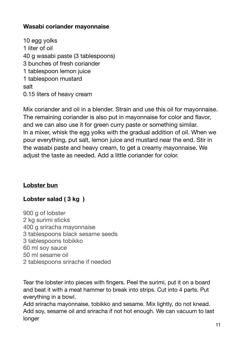#### <span id="page-10-0"></span>**Wasabi coriander mayonnaise**

10 egg yolks 1 liter of oil 40 g wasabi paste (3 tablespoons) 3 bunches of fresh coriander 1 tablespoon lemon juice 1 tablespoon mustard salt 0.15 liters of heavy cream

Mix coriander and oil in a blender. Strain and use this oil for mayonnaise. The remaining coriander is also put in mayonnaise for color and flavor, and we can also use it for green curry paste or something similar. In a mixer, whisk the egg yolks with the gradual addition of oil. When we pour everything, put salt, lemon juice and mustard near the end. Stir in the wasabi paste and heavy cream, to get a creamy mayonnaise. We adjust the taste as needed. Add a little coriander for color.

#### <span id="page-10-1"></span>**Lobster bun**

#### <span id="page-10-2"></span>**Lobster salad ( 3 kg )**

900 g of lobster 2 kg surimi sticks 400 g sriracha mayonnaise 3 tablespoons black sesame seeds 3 tablespoons tobikko 60 ml soy sauce 50 ml sesame oil 2 tablespoons srirache if needed

Tear the lobster into pieces with fingers. Peel the surimi, put it on a board and beat it with a meat hammer to break into strips. Cut into 4 parts. Put everything in a bowl.

Add sriracha mayonnaise, tobikko and sesame. Mix lightly, do not knead. Add soy, sesame oil and sriracha if not hot enough. We can vacuum to last longer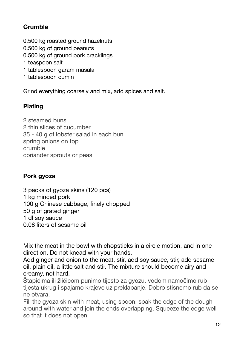# <span id="page-11-0"></span>**Crumble**

- 0.500 kg roasted ground hazelnuts
- 0.500 kg of ground peanuts
- 0.500 kg of ground pork cracklings
- 1 teaspoon salt
- 1 tablespoon garam masala
- 1 tablespoon cumin

Grind everything coarsely and mix, add spices and salt.

## <span id="page-11-1"></span>**Plating**

2 steamed buns 2 thin slices of cucumber 35 - 40 g of lobster salad in each bun spring onions on top crumble coriander sprouts or peas

#### <span id="page-11-2"></span>**Pork gyoza**

3 packs of gyoza skins (120 pcs) 1 kg minced pork 100 g Chinese cabbage, finely chopped 50 g of grated ginger 1 dl soy sauce 0.08 liters of sesame oil

Mix the meat in the bowl with chopsticks in a circle motion, and in one direction. Do not knead with your hands.

Add ginger and onion to the meat, stir, add soy sauce, stir, add sesame oil, plain oil, a little salt and stir. The mixture should become airy and creamy, not hard.

Štapićima ili žličicom punimo tijesto za gyozu, vodom namočimo rub tijesta ukrug i spajamo krajeve uz preklapanje. Dobro stisnemo rub da se ne otvara.

Fill the gyoza skin with meat, using spoon, soak the edge of the dough around with water and join the ends overlapping. Squeeze the edge well so that it does not open.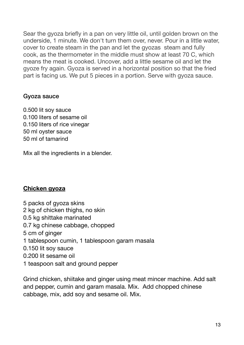Sear the gyoza briefly in a pan on very little oil, until golden brown on the underside, 1 minute. We don't turn them over, never. Pour in a little water, cover to create steam in the pan and let the gyozas steam and fully cook, as the thermometer in the middle must show at least 70 C, which means the meat is cooked. Uncover, add a little sesame oil and let the gyoze fry again. Gyoza is served in a horizontal position so that the fried part is facing us. We put 5 pieces in a portion. Serve with gyoza sauce.

#### <span id="page-12-0"></span>Gyoza sauce

0.500 lit soy sauce 0.100 liters of sesame oil 0.150 liters of rice vinegar 50 ml oyster sauce 50 ml of tamarind

Mix all the ingredients in a blender.

#### <span id="page-12-1"></span>**Chicken gyoza**

- 5 packs of gyoza skins
- 2 kg of chicken thighs, no skin
- 0.5 kg shittake marinated
- 0.7 kg chinese cabbage, chopped
- 5 cm of ginger
- 1 tablespoon cumin, 1 tablespoon garam masala
- 0.150 lit soy sauce
- 0.200 lit sesame oil
- 1 teaspoon salt and ground pepper

Grind chicken, shiitake and ginger using meat mincer machine. Add salt and pepper, cumin and garam masala. Mix. Add chopped chinese cabbage, mix, add soy and sesame oil. Mix.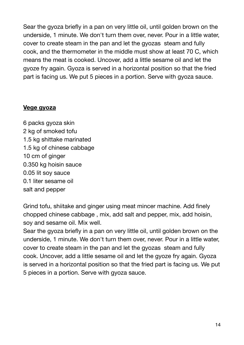Sear the gyoza briefly in a pan on very little oil, until golden brown on the underside, 1 minute. We don't turn them over, never. Pour in a little water, cover to create steam in the pan and let the gyozas steam and fully cook, and the thermometer in the middle must show at least 70 C, which means the meat is cooked. Uncover, add a little sesame oil and let the gyoze fry again. Gyoza is served in a horizontal position so that the fried part is facing us. We put 5 pieces in a portion. Serve with gyoza sauce.

#### <span id="page-13-0"></span>**Vege gyoza**

6 packs gyoza skin 2 kg of smoked tofu 1.5 kg shittake marinated 1.5 kg of chinese cabbage 10 cm of ginger 0.350 kg hoisin sauce 0.05 lit soy sauce 0.1 liter sesame oil salt and pepper

Grind tofu, shiitake and ginger using meat mincer machine. Add finely chopped chinese cabbage , mix, add salt and pepper, mix, add hoisin, soy and sesame oil. Mix well.

Sear the gyoza briefly in a pan on very little oil, until golden brown on the underside, 1 minute. We don't turn them over, never. Pour in a little water, cover to create steam in the pan and let the gyozas steam and fully cook. Uncover, add a little sesame oil and let the gyoze fry again. Gyoza is served in a horizontal position so that the fried part is facing us. We put 5 pieces in a portion. Serve with gyoza sauce.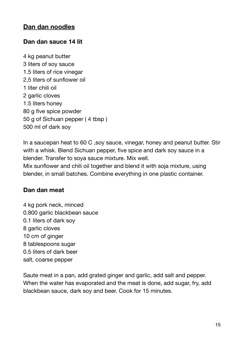#### <span id="page-14-0"></span>**Dan dan noodles**

#### <span id="page-14-1"></span>**Dan dan sauce 14 lit**

4 kg peanut butter 3 liters of soy sauce 1.5 liters of rice vinegar 2,5 liters of sunflower oil 1 liter chili oil 2 garlic cloves 1.5 liters honey 80 g five spice powder 50 g of Sichuan pepper ( 4 tbsp ) 500 ml of dark soy

In a saucepan heat to 60 C ,soy sauce, vinegar, honey and peanut butter. Stir with a whisk. Blend Sichuan pepper, five spice and dark soy sauce in a blender. Transfer to soya sauce mixture. Mix well.

Mix sunflower and chili oil together and blend it with soja mixture, using blender, in small batches. Combine everything in one plastic container.

#### <span id="page-14-2"></span>**Dan dan meat**

4 kg pork neck, minced 0.800 garlic blackbean sauce 0.1 liters of dark soy 8 garlic cloves 10 cm of ginger 8 tablespoons sugar 0.5 liters of dark beer salt, coarse pepper

Saute meat in a pan, add grated ginger and garlic, add salt and pepper. When the water has evaporated and the meat is done, add sugar, fry, add blackbean sauce, dark soy and beer. Cook for 15 minutes.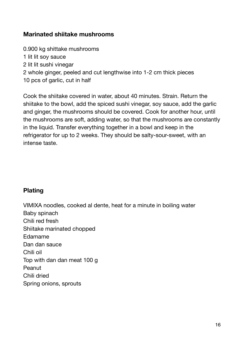## <span id="page-15-0"></span>**Marinated shiitake mushrooms**

- 0.900 kg shittake mushrooms
- 1 lit lit soy sauce
- 2 lit lit sushi vinegar
- 2 whole ginger, peeled and cut lengthwise into 1-2 cm thick pieces
- 10 pcs of garlic, cut in half

Cook the shiitake covered in water, about 40 minutes. Strain. Return the shiitake to the bowl, add the spiced sushi vinegar, soy sauce, add the garlic and ginger, the mushrooms should be covered. Cook for another hour, until the mushrooms are soft, adding water, so that the mushrooms are constantly in the liquid. Transfer everything together in a bowl and keep in the refrigerator for up to 2 weeks. They should be salty-sour-sweet, with an intense taste.

# <span id="page-15-1"></span>**Plating**

VIMIXA noodles, cooked al dente, heat for a minute in boiling water Baby spinach Chili red fresh Shiitake marinated chopped Edamame Dan dan sauce Chili oil Top with dan dan meat 100 g **Peanut** Chili dried Spring onions, sprouts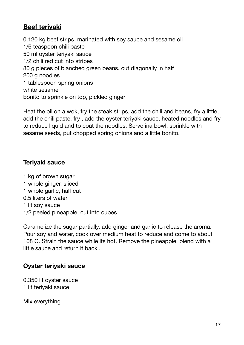# <span id="page-16-0"></span>**Beef teriyaki**

0.120 kg beef strips, marinated with soy sauce and sesame oil 1/6 teaspoon chili paste 50 ml oyster teriyaki sauce 1/2 chili red cut into stripes 80 g pieces of blanched green beans, cut diagonally in half 200 a noodles 1 tablespoon spring onions white sesame bonito to sprinkle on top, pickled ginger

Heat the oil on a wok, fry the steak strips, add the chili and beans, fry a little, add the chili paste, fry , add the oyster teriyaki sauce, heated noodles and fry to reduce liquid and to coat the noodles. Serve ina bowl, sprinkle with sesame seeds, put chopped spring onions and a little bonito.

#### <span id="page-16-1"></span>**Teriyaki sauce**

1 kg of brown sugar 1 whole ginger, sliced 1 whole garlic, half cut 0.5 liters of water 1 lit soy sauce 1/2 peeled pineapple, cut into cubes

Caramelize the sugar partially, add ginger and garlic to release the aroma. Pour soy and water, cook over medium heat to reduce and come to about 108 C. Strain the sauce while its hot. Remove the pineapple, blend with a little sauce and return it back .

#### <span id="page-16-2"></span>**Oyster teriyaki sauce**

0.350 lit oyster sauce 1 lit teriyaki sauce

Mix everything .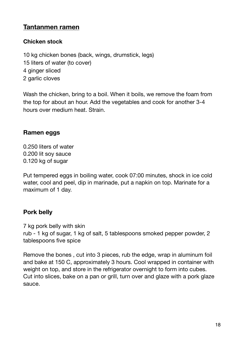# <span id="page-17-0"></span>**Tantanmen ramen**

#### <span id="page-17-1"></span>**Chicken stock**

10 kg chicken bones (back, wings, drumstick, legs) 15 liters of water (to cover) 4 ginger sliced 2 garlic cloves

Wash the chicken, bring to a boil. When it boils, we remove the foam from the top for about an hour. Add the vegetables and cook for another 3-4 hours over medium heat. Strain.

#### <span id="page-17-2"></span>**Ramen eggs**

0.250 liters of water 0.200 lit soy sauce 0.120 kg of sugar

Put tempered eggs in boiling water, cook 07:00 minutes, shock in ice cold water, cool and peel, dip in marinade, put a napkin on top. Marinate for a maximum of 1 day.

#### <span id="page-17-3"></span>**Pork belly**

7 kg pork belly with skin rub - 1 kg of sugar, 1 kg of salt, 5 tablespoons smoked pepper powder, 2 tablespoons five spice

Remove the bones , cut into 3 pieces, rub the edge, wrap in aluminum foil and bake at 150 C, approximately 3 hours. Cool wrapped in container with weight on top, and store in the refrigerator overnight to form into cubes. Cut into slices, bake on a pan or grill, turn over and glaze with a pork glaze sauce.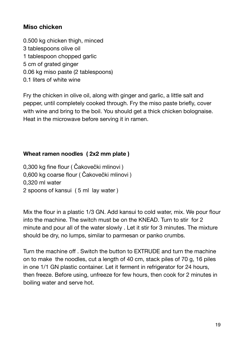# <span id="page-18-0"></span>**Miso chicken**

- 0.500 kg chicken thigh, minced
- 3 tablespoons olive oil
- 1 tablespoon chopped garlic
- 5 cm of grated ginger
- 0.06 kg miso paste (2 tablespoons)
- 0.1 liters of white wine

Fry the chicken in olive oil, along with ginger and garlic, a little salt and pepper, until completely cooked through. Fry the miso paste briefly, cover with wine and bring to the boil. You should get a thick chicken bolognaise. Heat in the microwave before serving it in ramen.

#### <span id="page-18-1"></span>**Wheat ramen noodles ( 2x2 mm plate )**

0,300 kg fine flour ( Čakovečki mlinovi ) 0,600 kg coarse flour ( Čakovečki mlinovi ) 0,320 ml water 2 spoons of kansui ( 5 ml lay water )

Mix the flour in a plastic 1/3 GN. Add kansui to cold water, mix. We pour flour into the machine. The switch must be on the KNEAD. Turn to stir for 2 minute and pour all of the water slowly . Let it stir for 3 minutes. The mixture should be dry, no lumps, similar to parmesan or panko crumbs.

Turn the machine off . Switch the button to EXTRUDE and turn the machine on to make the noodles, cut a length of 40 cm, stack piles of 70 g, 16 piles in one 1/1 GN plastic container. Let it ferment in refrigerator for 24 hours, then freeze. Before using, unfreeze for few hours, then cook for 2 minutes in boiling water and serve hot.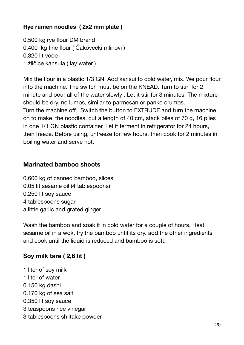## <span id="page-19-0"></span>**Rye ramen noodles ( 2x2 mm plate )**

0,500 kg rye flour DM brand 0,400 kg fine flour ( Čakovečki mlinovi ) 0,320 lit vode 1 žličice kansuia ( lay water )

Mix the flour in a plastic 1/3 GN. Add kansui to cold water, mix. We pour flour into the machine. The switch must be on the KNEAD. Turn to stir for 2 minute and pour all of the water slowly . Let it stir for 3 minutes. The mixture should be dry, no lumps, similar to parmesan or panko crumbs. Turn the machine off . Switch the button to EXTRUDE and turn the machine on to make the noodles, cut a length of 40 cm, stack piles of 70 g, 16 piles in one 1/1 GN plastic container. Let it ferment in refrigerator for 24 hours, then freeze. Before using, unfreeze for few hours, then cook for 2 minutes in boiling water and serve hot.

#### <span id="page-19-1"></span>**Marinated bamboo shoots**

- 0.600 kg of canned bamboo, slices 0.05 lit sesame oil (4 tablespoons) 0.250 lit soy sauce 4 tablespoons sugar
- a little garlic and grated ginger

Wash the bamboo and soak it in cold water for a couple of hours. Heat sesame oil in a wok, fry the bamboo until its dry. add the other ingredients and cook until the liquid is reduced and bamboo is soft.

# <span id="page-19-2"></span>**Soy milk tare ( 2,6 lit )**

- 1 liter of soy milk
- 1 liter of water
- 0.150 kg dashi
- 0.170 kg of sea salt
- 0.350 lit soy sauce
- 3 teaspoons rice vinegar
- 3 tablespoons shiitake powder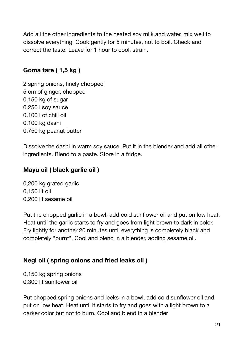Add all the other ingredients to the heated soy milk and water, mix well to dissolve everything. Cook gently for 5 minutes, not to boil. Check and correct the taste. Leave for 1 hour to cool, strain.

# <span id="page-20-0"></span>**Goma tare ( 1,5 kg )**

2 spring onions, finely chopped 5 cm of ginger, chopped 0.150 kg of sugar 0.250 l soy sauce 0.100 l of chili oil 0.100 kg dashi 0.750 kg peanut butter

Dissolve the dashi in warm soy sauce. Put it in the blender and add all other ingredients. Blend to a paste. Store in a fridge.

## <span id="page-20-1"></span>**Mayu oil ( black garlic oil )**

0,200 kg grated garlic 0,150 lit oil 0,200 lit sesame oil

Put the chopped garlic in a bowl, add cold sunflower oil and put on low heat. Heat until the garlic starts to fry and goes from light brown to dark in color. Fry lightly for another 20 minutes until everything is completely black and completely "burnt". Cool and blend in a blender, adding sesame oil.

# <span id="page-20-2"></span>**Negi oil ( spring onions and fried leaks oil )**

0,150 kg spring onions 0,300 lit sunflower oil

Put chopped spring onions and leeks in a bowl, add cold sunflower oil and put on low heat. Heat until it starts to fry and goes with a light brown to a darker color but not to burn. Cool and blend in a blender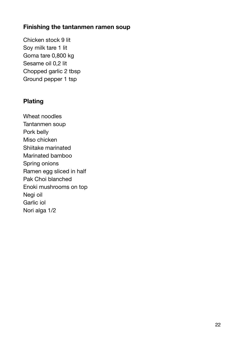#### <span id="page-21-0"></span>**Finishing the tantanmen ramen soup**

Chicken stock 9 lit Soy milk tare 1 lit Goma tare 0,800 kg Sesame oil 0,2 lit Chopped garlic 2 tbsp Ground pepper 1 tsp

#### <span id="page-21-1"></span>**Plating**

Wheat noodles Tantanmen soup Pork belly Miso chicken Shiitake marinated Marinated bamboo Spring onions Ramen egg sliced in half Pak Choi blanched Enoki mushrooms on top Negi oil Garlic iol Nori alga 1/2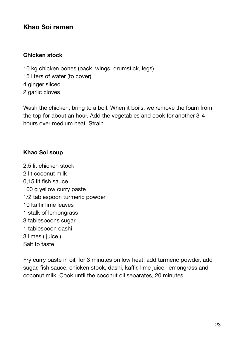# <span id="page-22-0"></span>**Khao Soi ramen**

#### <span id="page-22-1"></span>**Chicken stock**

10 kg chicken bones (back, wings, drumstick, legs) 15 liters of water (to cover) 4 ginger sliced 2 garlic cloves

Wash the chicken, bring to a boil. When it boils, we remove the foam from the top for about an hour. Add the vegetables and cook for another 3-4 hours over medium heat. Strain.

#### <span id="page-22-2"></span>**Khao Soi soup**

2.5 lit chicken stock 2 lit coconut milk 0,15 lit fish sauce 100 g yellow curry paste 1/2 tablespoon turmeric powder 10 kaffir lime leaves 1 stalk of lemongrass 3 tablespoons sugar 1 tablespoon dashi 3 limes ( juice ) Salt to taste

Fry curry paste in oil, for 3 minutes on low heat, add turmeric powder, add sugar, fish sauce, chicken stock, dashi, kaffir, lime juice, lemongrass and coconut milk. Cook until the coconut oil separates, 20 minutes.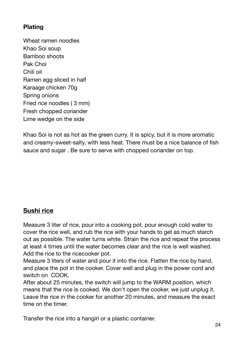# <span id="page-23-0"></span>**Plating**

Wheat ramen noodles Khao Soi soup Bamboo shoots Pak Choi Chili oil Ramen egg sliced in half Karaage chicken 70g Spring onions Fried rice noodles ( 3 mm) Fresh chopped coriander Lime wedge on the side

Khao Soi is not as hot as the green curry. It is spicy, but it is more aromatic and creamy-sweet-salty, with less heat. There must be a nice balance of fish sauce and sugar . Be sure to serve with chopped coriander on top.

# <span id="page-23-1"></span>**Sushi rice**

Measure 3 liter of rice, pour into a cooking pot, pour enough cold water to cover the rice well, and rub the rice with your hands to get as much starch out as possible. The water turns white. Strain the rice and repeat the process at least 4 times until the water becomes clear and the rice is well washed. Add the rice to the ricecooker pot.

Measure 3 liters of water and pour it into the rice. Flatten the rice by hand, and place the pot in the cooker. Cover well and plug in the power cord and switch on COOK.

After about 25 minutes, the switch will jump to the WARM position, which means that the rice is cooked. We don't open the cooker, we just unplug it. Leave the rice in the cooker for another 20 minutes, and measure the exact time on the timer.

Transfer the rice into a hangiri or a plastic container.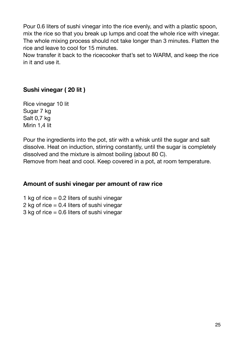Pour 0.6 liters of sushi vinegar into the rice evenly, and with a plastic spoon, mix the rice so that you break up lumps and coat the whole rice with vinegar. The whole mixing process should not take longer than 3 minutes. Flatten the rice and leave to cool for 15 minutes.

Now transfer it back to the ricecooker that's set to WARM, and keep the rice in it and use it.

# <span id="page-24-0"></span>**Sushi vinegar ( 20 lit )**

Rice vinegar 10 lit Sugar 7 kg Salt 0,7 kg Mirin 1,4 lit

Pour the ingredients into the pot, stir with a whisk until the sugar and salt dissolve. Heat on induction, stirring constantly, until the sugar is completely dissolved and the mixture is almost boiling (about 80 C).

Remove from heat and cool. Keep covered in a pot, at room temperature.

#### <span id="page-24-1"></span>**Amount of sushi vinegar per amount of raw rice**

1 kg of rice  $= 0.2$  liters of sushi vinegar

2 kg of rice = 0.4 liters of sushi vinegar

3 kg of rice = 0.6 liters of sushi vinegar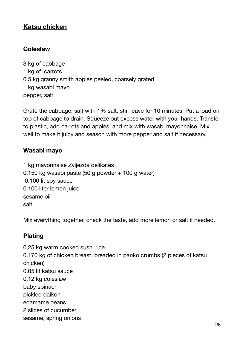# <span id="page-25-0"></span>**Katsu chicken**

#### <span id="page-25-1"></span>**Coleslaw**

3 kg of cabbage 1 kg of carrots 0.5 kg granny smith apples peeled, coarsely grated 1 kg wasabi mayo pepper, salt

Grate the cabbage, salt with 1% salt, stir, leave for 10 minutes. Put a load on top of cabbage to drain. Squeeze out excess water with your hands. Transfer to plastic, add carrots and apples, and mix with wasabi mayonnaise. Mix well to make it juicy and season with more pepper and salt if necessary.

#### <span id="page-25-2"></span>**Wasabi mayo**

1 kg mayonnaise Zvijezda delikates 0.150 kg wasabi paste (50 g powder + 100 g water) 0.100 lit soy sauce 0.100 liter lemon juice sesame oil salt

Mix everything together, check the taste, add more lemon or salt if needed.

#### <span id="page-25-3"></span>**Plating**

0,25 kg warm cooked sushi rice 0.170 kg of chicken breast, breaded in panko crumbs (2 pieces of katsu chicken) 0.05 lit katsu sauce 0.12 kg coleslaw baby spinach pickled daikon edamame beans 2 slices of cucumber sesame, spring onions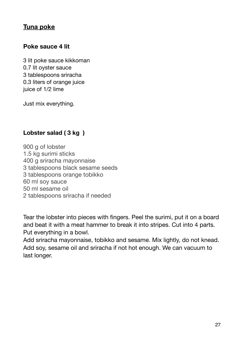# <span id="page-26-0"></span>**Tuna poke**

#### <span id="page-26-1"></span>**Poke sauce 4 lit**

3 lit poke sauce kikkoman 0.7 lit oyster sauce 3 tablespoons sriracha 0.3 liters of orange juice juice of 1/2 lime

Just mix everything.

# <span id="page-26-2"></span>**Lobster salad ( 3 kg )**

900 g of lobster 1.5 kg surimi sticks 400 g sriracha mayonnaise 3 tablespoons black sesame seeds 3 tablespoons orange tobikko 60 ml soy sauce 50 ml sesame oil 2 tablespoons sriracha if needed

Tear the lobster into pieces with fingers. Peel the surimi, put it on a board and beat it with a meat hammer to break it into stripes. Cut into 4 parts. Put everything in a bowl.

Add sriracha mayonnaise, tobikko and sesame. Mix lightly, do not knead. Add soy, sesame oil and sriracha if not hot enough. We can vacuum to last longer.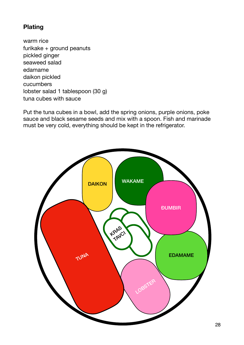# <span id="page-27-0"></span>**Plating**

warm rice furikake + ground peanuts pickled ginger seaweed salad edamame daikon pickled cucumbers lobster salad 1 tablespoon (30 g) tuna cubes with sauce

Put the tuna cubes in a bowl, add the spring onions, purple onions, poke sauce and black sesame seeds and mix with a spoon. Fish and marinade must be very cold, everything should be kept in the refrigerator.

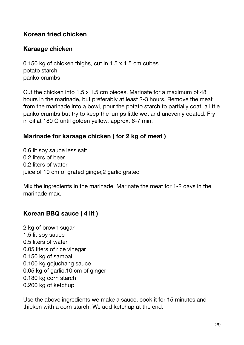# <span id="page-28-0"></span>**Korean fried chicken**

## <span id="page-28-1"></span>**Karaage chicken**

0.150 kg of chicken thighs, cut in 1.5 x 1.5 cm cubes potato starch panko crumbs

Cut the chicken into 1.5 x 1.5 cm pieces. Marinate for a maximum of 48 hours in the marinade, but preferably at least 2-3 hours. Remove the meat from the marinade into a bowl, pour the potato starch to partially coat, a little panko crumbs but try to keep the lumps little wet and unevenly coated. Fry in oil at 180 C until golden yellow, approx. 6-7 min.

#### <span id="page-28-2"></span>**Marinade for karaage chicken ( for 2 kg of meat )**

0.6 lit soy sauce less salt 0.2 liters of beer 0.2 liters of water juice of 10 cm of grated ginger,2 garlic grated

Mix the ingredients in the marinade. Marinate the meat for 1-2 days in the marinade max.

# <span id="page-28-3"></span>**Korean BBQ sauce ( 4 lit )**

2 kg of brown sugar 1.5 lit soy sauce 0.5 liters of water 0.05 liters of rice vinegar 0.150 kg of sambal 0.100 kg gojuchang sauce 0.05 kg of garlic,10 cm of ginger 0.180 kg corn starch 0.200 kg of ketchup

Use the above ingredients we make a sauce, cook it for 15 minutes and thicken with a corn starch. We add ketchup at the end.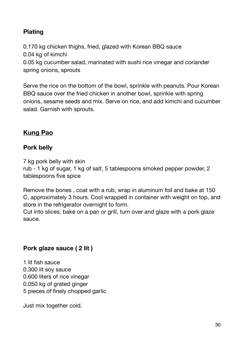# <span id="page-29-0"></span>**Plating**

0.170 kg chicken thighs, fried, glazed with Korean BBQ sauce 0.04 kg of kimchi

0.05 kg cucumber salad, marinated with sushi rice vinegar and coriander spring onions, sprouts

Serve the rice on the bottom of the bowl, sprinkle with peanuts. Pour Korean BBQ sauce over the fried chicken in another bowl, sprinkle with spring onions, sesame seeds and mix. Serve on rice, and add kimchi and cucumber salad. Garnish with sprouts.

# <span id="page-29-1"></span>**Kung Pao**

#### <span id="page-29-2"></span>**Pork belly**

7 kg pork belly with skin

rub - 1 kg of sugar, 1 kg of salt, 5 tablespoons smoked pepper powder, 2 tablespoons five spice

Remove the bones , coat with a rub, wrap in aluminum foil and bake at 150 C, approximately 3 hours. Cool wrapped in container with weight on top, and store in the refrigerator overnight to form.

Cut into slices, bake on a pan or grill, turn over and glaze with a pork glaze sauce.

#### <span id="page-29-3"></span>**Pork glaze sauce ( 2 lit )**

1 lit fish sauce 0.300 lit soy sauce 0.600 liters of rice vinegar 0.050 kg of grated ginger 5 pieces of finely chopped garlic

Just mix together cold.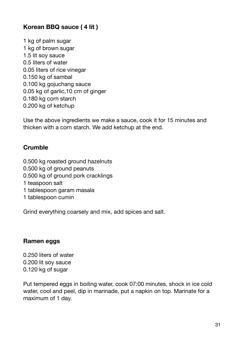# <span id="page-30-0"></span>**Korean BBQ sauce ( 4 lit )**

1 kg of palm sugar 1 kg of brown sugar 1.5 lit soy sauce 0.5 liters of water 0.05 liters of rice vinegar 0.150 kg of sambal 0.100 kg gojuchang sauce 0.05 kg of garlic,10 cm of ginger 0.180 kg corn starch 0.200 kg of ketchup

Use the above ingredients we make a sauce, cook it for 15 minutes and thicken with a corn starch. We add ketchup at the end.

## <span id="page-30-1"></span>**Crumble**

- 0.500 kg roasted ground hazelnuts
- 0.500 kg of ground peanuts
- 0.500 kg of ground pork cracklings
- 1 teaspoon salt
- 1 tablespoon garam masala
- 1 tablespoon cumin

Grind everything coarsely and mix, add spices and salt.

#### <span id="page-30-2"></span>**Ramen eggs**

0.250 liters of water 0.200 lit soy sauce 0.120 kg of sugar

Put tempered eggs in boiling water, cook 07:00 minutes, shock in ice cold water, cool and peel, dip in marinade, put a napkin on top. Marinate for a maximum of 1 day.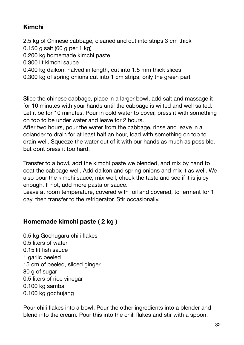# <span id="page-31-0"></span>**Kimchi**

2.5 kg of Chinese cabbage, cleaned and cut into strips 3 cm thick

- 0.150 g salt (60 g per 1 kg)
- 0.200 kg homemade kimchi paste
- 0.300 lit kimchi sauce
- 0.400 kg daikon, halved in length, cut into 1.5 mm thick slices
- 0.300 kg of spring onions cut into 1 cm strips, only the green part

Slice the chinese cabbage, place in a larger bowl, add salt and massage it for 10 minutes with your hands until the cabbage is wilted and well salted. Let it be for 10 minutes. Pour in cold water to cover, press it with something on top to be under water and leave for 2 hours.

After two hours, pour the water from the cabbage, rinse and leave in a colander to drain for at least half an hour, load with something on top to drain well. Squeeze the water out of it with our hands as much as possible, but dont press it too hard.

Transfer to a bowl, add the kimchi paste we blended, and mix by hand to coat the cabbage well. Add daikon and spring onions and mix it as well. We also pour the kimchi sauce, mix well, check the taste and see if it is juicy enough. If not, add more pasta or sauce.

Leave at room temperature, covered with foil and covered, to ferment for 1 day, then transfer to the refrigerator. Stir occasionally.

# <span id="page-31-1"></span>**Homemade kimchi paste ( 2 kg )**

0.5 kg Gochugaru chili flakes 0.5 liters of water 0.15 lit fish sauce 1 garlic peeled 15 cm of peeled, sliced ginger 80 g of sugar 0.5 liters of rice vinegar 0.100 kg sambal 0.100 kg gochujang

Pour chili flakes into a bowl. Pour the other ingredients into a blender and blend into the cream. Pour this into the chili flakes and stir with a spoon.